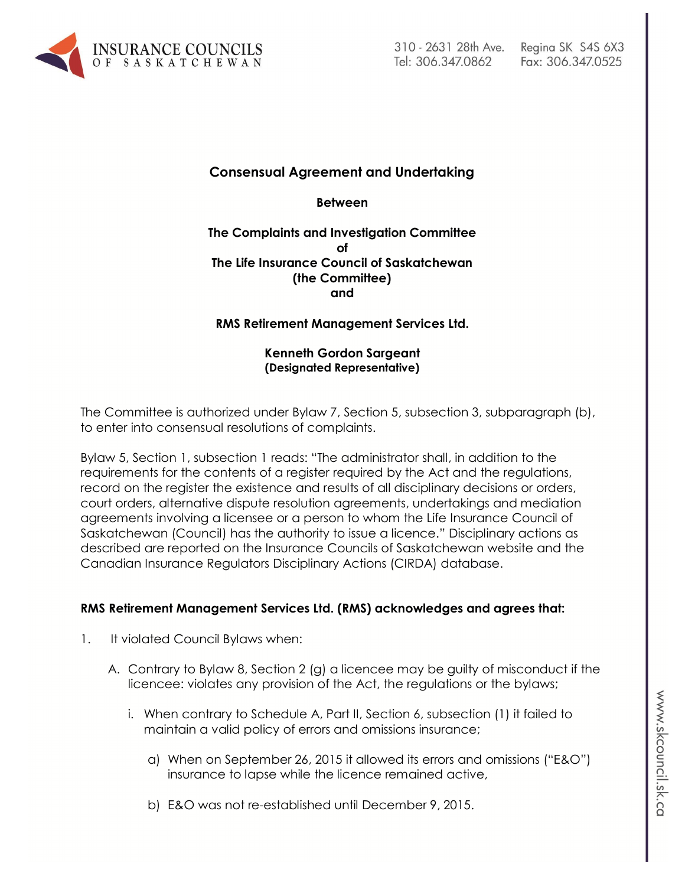

# Fax: 306.347.0525

## **Consensual Agreement and Undertaking**

**Between**

#### **The Complaints and Investigation Committee of The Life Insurance Council of Saskatchewan (the Committee) and**

### **RMS Retirement Management Services Ltd.**

#### **Kenneth Gordon Sargeant (Designated Representative)**

The Committee is authorized under Bylaw 7, Section 5, subsection 3, subparagraph (b), to enter into consensual resolutions of complaints.

Bylaw 5, Section 1, subsection 1 reads: "The administrator shall, in addition to the requirements for the contents of a register required by the Act and the regulations, record on the register the existence and results of all disciplinary decisions or orders, court orders, alternative dispute resolution agreements, undertakings and mediation agreements involving a licensee or a person to whom the Life Insurance Council of Saskatchewan (Council) has the authority to issue a licence." Disciplinary actions as described are reported on the Insurance Councils of Saskatchewan website and the Canadian Insurance Regulators Disciplinary Actions (CIRDA) database.

#### **RMS Retirement Management Services Ltd. (RMS) acknowledges and agrees that:**

- 1. It violated Council Bylaws when:
	- A. Contrary to Bylaw 8, Section 2 (g) a licencee may be guilty of misconduct if the licencee: violates any provision of the Act, the regulations or the bylaws;
		- i. When contrary to Schedule A, Part II, Section 6, subsection (1) it failed to maintain a valid policy of errors and omissions insurance;
			- a) When on September 26, 2015 it allowed its errors and omissions ("E&O") insurance to lapse while the licence remained active,
			- b) E&O was not re-established until December 9, 2015.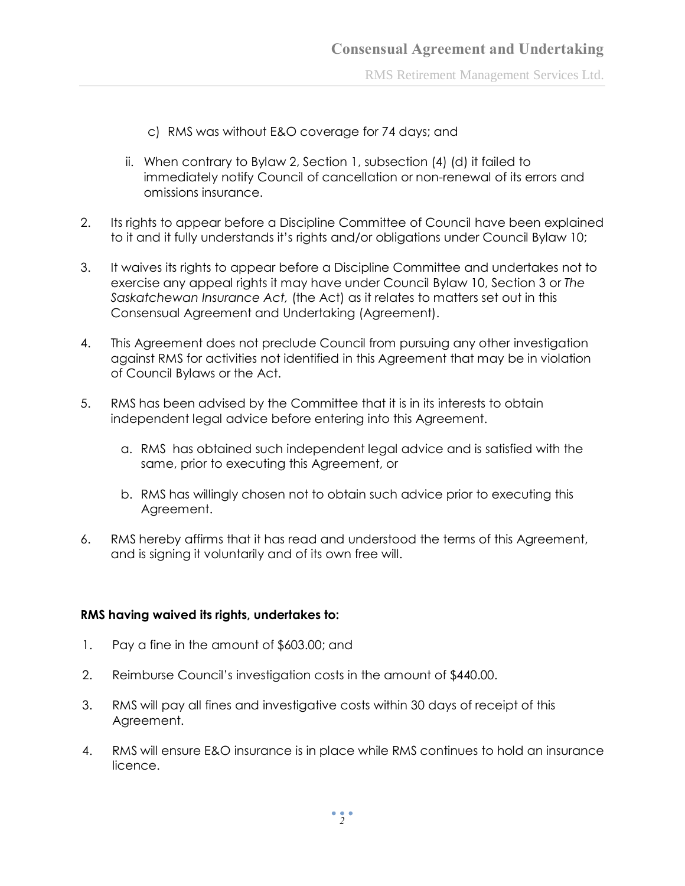RMS Retirement Management Services Ltd.

- c) RMS was without E&O coverage for 74 days; and
- ii. When contrary to Bylaw 2, Section 1, subsection (4) (d) it failed to immediately notify Council of cancellation or non-renewal of its errors and omissions insurance.
- 2. Its rights to appear before a Discipline Committee of Council have been explained to it and it fully understands it's rights and/or obligations under Council Bylaw 10;
- 3. It waives its rights to appear before a Discipline Committee and undertakes not to exercise any appeal rights it may have under Council Bylaw 10, Section 3 or *The Saskatchewan Insurance Act,* (the Act) as it relates to matters set out in this Consensual Agreement and Undertaking (Agreement).
- 4. This Agreement does not preclude Council from pursuing any other investigation against RMS for activities not identified in this Agreement that may be in violation of Council Bylaws or the Act.
- 5. RMS has been advised by the Committee that it is in its interests to obtain independent legal advice before entering into this Agreement.
	- a. RMS has obtained such independent legal advice and is satisfied with the same, prior to executing this Agreement, or
	- b. RMS has willingly chosen not to obtain such advice prior to executing this Agreement.
- 6. RMS hereby affirms that it has read and understood the terms of this Agreement, and is signing it voluntarily and of its own free will.

#### **RMS having waived its rights, undertakes to:**

- 1. Pay a fine in the amount of \$603.00; and
- 2. Reimburse Council's investigation costs in the amount of \$440.00.
- 3. RMS will pay all fines and investigative costs within 30 days of receipt of this Agreement.
- 4. RMS will ensure E&O insurance is in place while RMS continues to hold an insurance licence.